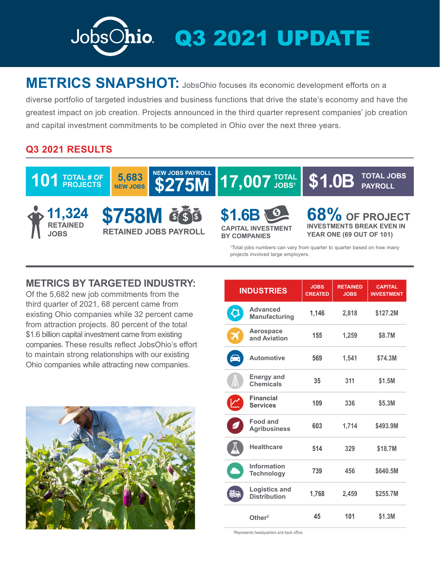

## **METRICS SNAPSHOT:** JobsOhio focuses its economic development efforts on a

diverse portfolio of targeted industries and business functions that drive the state's economy and have the greatest impact on job creation. Projects announced in the third quarter represent companies' job creation and capital investment commitments to be completed in Ohio over the next three years.

## **Q3 2021 RESULTS**



## **METRICS BY TARGETED INDUSTRY:**

Of the 5,682 new job commitments from the third quarter of 2021, 68 percent came from existing Ohio companies while 32 percent came from attraction projects. 80 percent of the total \$1.6 billion capital investment came from existing companies. These results reflect JobsOhio's effort to maintain strong relationships with our existing Ohio companies while attracting new companies.



| <b>INDUSTRIES</b> |                                             | <b>JOBS</b><br><b>CREATED</b> | <b>RETAINED</b><br><b>JOBS</b> | <b>CAPITAL</b><br><b>INVESTMENT</b> |
|-------------------|---------------------------------------------|-------------------------------|--------------------------------|-------------------------------------|
| Ç                 | <b>Advanced</b><br><b>Manufacturing</b>     | 1,146                         | 2,818                          | \$127.2M                            |
| Ž                 | Aerospace<br>and Aviation                   | 155                           | 1,259                          | \$8.7M                              |
|                   | <b>Automotive</b>                           | 569                           | 1,541                          | \$74.3M                             |
| ₿                 | Energy and<br><b>Chemicals</b>              | 35                            | 311                            | \$1.5M                              |
|                   | <b>Financial</b><br><b>Services</b>         | 109                           | 336                            | \$5.3M                              |
|                   | Food and<br><b>Agribusiness</b>             | 603                           | 1,714                          | \$493.9M                            |
|                   | <b>Healthcare</b>                           | 514                           | 329                            | \$18.7M                             |
| r y               | <b>Information</b><br><b>Technology</b>     | 739                           | 456                            | \$640.5M                            |
| 55                | <b>Logistics and</b><br><b>Distribution</b> | 1,768                         | 2,459                          | \$255.7M                            |
|                   | Other <sup>2</sup>                          | 45                            | 101                            | \$1.3M                              |

2 Represents headquarters and back office.